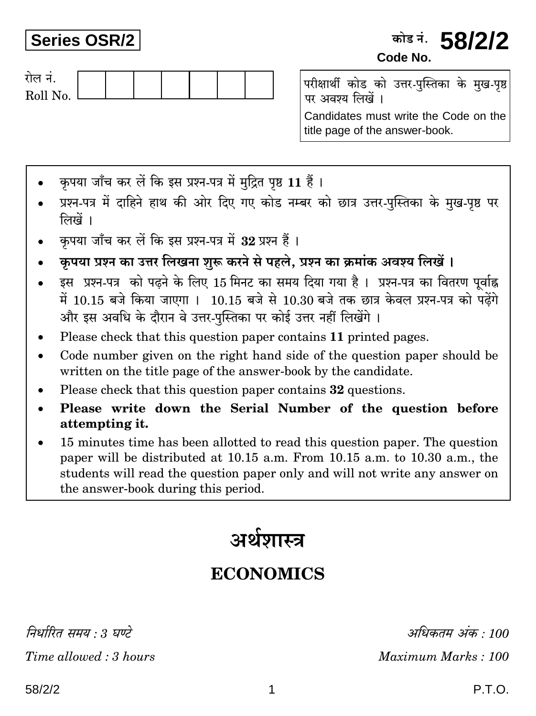## **Series OSR/2**

## कोड नं. **58/2/2** Code No.



परीक्षार्थी कोड को उत्तर-पुस्तिका के मुख-पृष्ठ पर अवश्य लिखें ।

Candidates must write the Code on the title page of the answer-book.

- कपया जाँच कर लें कि इस प्रश्न-पत्र में मदित पष्ठ 11 हैं।
- प्रश्न-पत्र में दाहिने हाथ की ओर दिए गए कोड नम्बर को छात्र उत्तर-पुस्तिका के मुख-पृष्ठ पर लिखें ।
- कृपया जाँच कर लें कि इस प्रश्न-पत्र में 32 प्रश्न हैं।
- कृपया प्रश्न का उत्तर लिखना शुरू करने से पहले, प्रश्न का क्रमांक अवश्य लिखें।
- इस प्रश्न-पत्र को पढ़ने के लिए 15 मिनट का समय दिया गया है। प्रश्न-पत्र का वितरण पर्वाह्न में 10.15 बजे किया जाएगा। 10.15 बजे से 10.30 बजे तक छात्र केवल प्रश्न-पत्र को पढ़ेंगे और इस अवधि के दौरान वे उत्तर-पुस्तिका पर कोई उत्तर नहीं लिखेंगे ।
- Please check that this question paper contains 11 printed pages.
- Code number given on the right hand side of the question paper should be written on the title page of the answer-book by the candidate.
- Please check that this question paper contains 32 questions.
- Please write down the Serial Number of the question before  $\bullet$ attempting it.
- 15 minutes time has been allotted to read this question paper. The question paper will be distributed at 10.15 a.m. From 10.15 a.m. to 10.30 a.m., the students will read the question paper only and will not write any answer on the answer-book during this period.

# अर्थशास्त्र

# **ECONOMICS**

निर्धारित ममय  $\cdot$  १ घण्टे

Time allowed: 3 hours

अधिकतम् अंक : 100 Maximum Marks: 100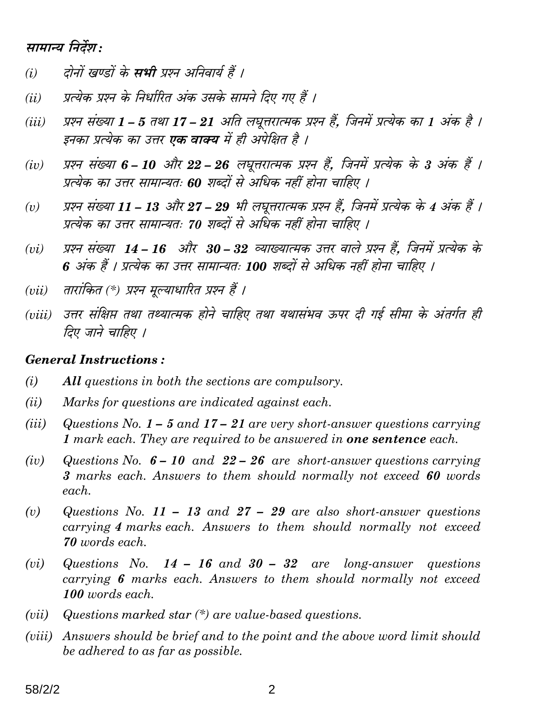### सामान्य निर्देश:

- दोनों खण्डों के **सभी** प्रश्न अनिवार्य हैं ।  $(i)$
- प्रत्येक प्रश्न के निर्धारित अंक उसके सामने दिए गए हैं ।  $(ii)$
- प्रश्न संख्या 1 5 तथा 17 21 अति लघूत्तरात्मक प्रश्न हैं. जिनमें प्रत्येक का 1 अंक है ।  $(iii)$ इनका प्रत्येक का उत्तर **एक वाक्य** में ही अपेक्षित है ।
- प्रश्न संख्या 6 10 और 22 26 लघुत्तरात्मक प्रश्न हैं, जिनमें प्रत्येक के 3 अंक हैं ।  $(iv)$ प्रत्येक का उत्तर सामान्यतः 60 शब्दों से अधिक नहीं होना चाहिए ।
- प्रश्न संख्या 11 13 और 27 29 भी लघूत्तरात्मक प्रश्न हैं, जिनमें प्रत्येक के 4 अंक हैं ।  $(v)$ प्रत्येक का उत्तर सामान्यतः 70 शब्दों से अधिक नहीं होना चाहिए ।
- प्रश्न संख्या 14 16 और 30 32 व्याख्यात्मक उत्तर वाले प्रश्न हैं, जिनमें प्रत्येक के  $(vi)$ 6 अंक हैं । प्रत्येक का उत्तर सामान्यतः 100 शब्दों से अधिक नहीं होना चाहिए ।
- तारांकित (\*) प्रश्न मुल्याधारित प्रश्न हैं ।  $(vii)$
- (viii) उत्तर संक्षिप्त तथा तथ्यात्मक होने चाहिए तथा यथासंभव ऊपर दी गई सीमा के अंतर्गत ही तिए जाने चाहिए ।

#### **General Instructions:**

- $(i)$ All questions in both the sections are compulsory.
- $(ii)$ Marks for questions are indicated against each.
- $(iii)$ Questions No.  $1 - 5$  and  $17 - 21$  are very short-answer questions carrying 1 mark each. They are required to be answered in **one sentence** each.
- Questions No.  $6 10$  and  $22 26$  are short-answer questions carrying  $(iv)$ 3 marks each. Answers to them should normally not exceed 60 words each.
- $(v)$ Questions No. 11 – 13 and 27 – 29 are also short-answer questions carrying 4 marks each. Answers to them should normally not exceed 70 words each.
- Questions No.  $14 16$  and  $30 32$  are long-answer questions  $(vi)$ carrying 6 marks each. Answers to them should normally not exceed 100 words each.
- Questions marked star  $(*)$  are value-based questions.  $(vii)$
- (viii) Answers should be brief and to the point and the above word limit should be adhered to as far as possible.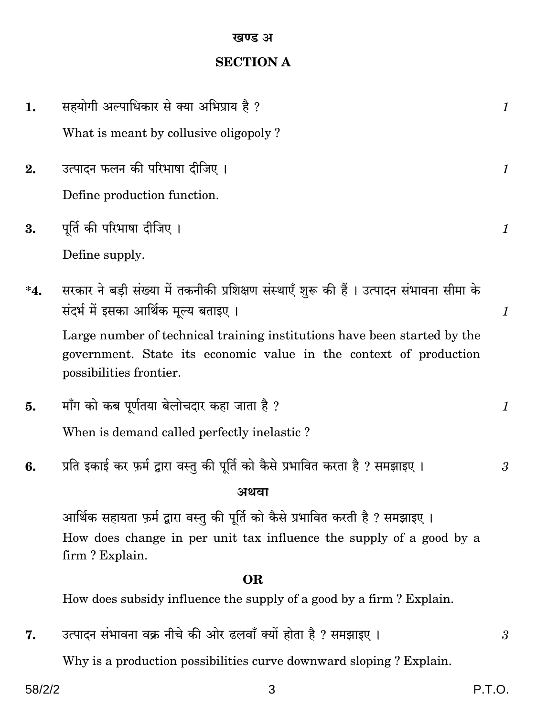## **SECTION A**

| 1.     | सहयोगी अल्पाधिकार से क्या अभिप्राय है ?                                                                                                                                  | $\mathcal{I}$  |
|--------|--------------------------------------------------------------------------------------------------------------------------------------------------------------------------|----------------|
|        | What is meant by collusive oligopoly?                                                                                                                                    |                |
| 2.     | उत्पादन फलन की परिभाषा दीजिए ।                                                                                                                                           | $\mathcal{I}$  |
|        | Define production function.                                                                                                                                              |                |
| 3.     | पूर्ति की परिभाषा दीजिए ।                                                                                                                                                | $\mathcal{I}$  |
|        | Define supply.                                                                                                                                                           |                |
| $^*4.$ | सरकार ने बड़ी संख्या में तकनीकी प्रशिक्षण संस्थाएँ शुरू की हैं। उत्पादन संभावना सीमा के<br>संदर्भ में इसका आर्थिक मूल्य बताइए ।                                          | $\mathcal{I}$  |
|        | Large number of technical training institutions have been started by the<br>government. State its economic value in the context of production<br>possibilities frontier. |                |
| 5.     | माँग को कब पूर्णतया बेलोचदार कहा जाता है ?                                                                                                                               | $\mathcal{I}$  |
|        | When is demand called perfectly inelastic?                                                                                                                               |                |
| 6.     | प्रति इकाई कर फ़र्म द्वारा वस्तु की पूर्ति को कैसे प्रभावित करता है ? समझाइए ।                                                                                           | $\mathfrak{z}$ |
|        | अथवा                                                                                                                                                                     |                |
|        | आर्थिक सहायता फ़र्म द्वारा वस्तु की पूर्ति को कैसे प्रभावित करती है ? समझाइए ।                                                                                           |                |
|        | How does change in per unit tax influence the supply of a good by a<br>firm? Explain.                                                                                    |                |
|        | <b>OR</b>                                                                                                                                                                |                |
|        | How does subsidy influence the supply of a good by a firm? Explain.                                                                                                      |                |
| 7.     | उत्पादन संभावना वक्र नीचे की ओर ढलवाँ क्यों होता है ? समझाइए ।                                                                                                           | 3              |
|        | Why is a production possibilities curve downward sloping? Explain.                                                                                                       |                |

 $\mathfrak{S}$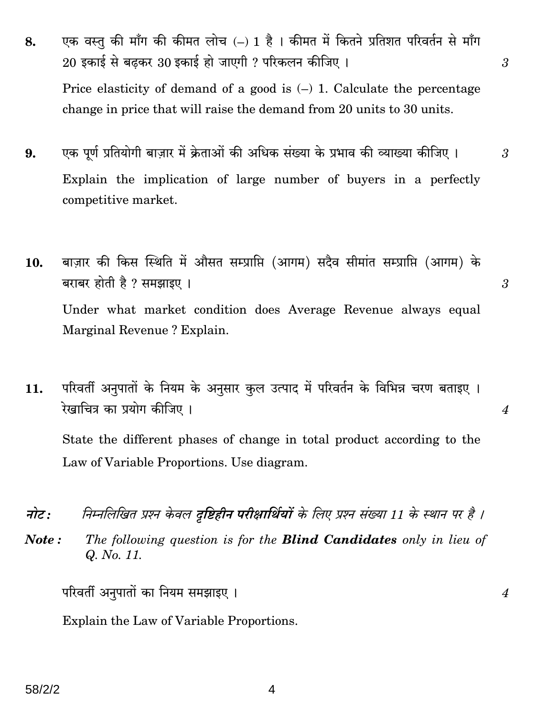- एक वस्तु की माँग की कीमत लोच (-) 1 है । कीमत में कितने प्रतिशत परिवर्तन से माँग 8. 20 इकाई से बढ़कर 30 इकाई हो जाएगी ? परिकलन कीजिए । Price elasticity of demand of a good is  $(-)$  1. Calculate the percentage change in price that will raise the demand from 20 units to 30 units.
- एक पूर्ण प्रतियोगी बाज़ार में क्रेताओं की अधिक संख्या के प्रभाव की व्याख्या कीजिए । 9. Explain the implication of large number of buyers in a perfectly competitive market.
- बाज़ार की किस स्थिति में औसत सम्प्राप्ति (आगम) सदैव सीमांत सम्प्राप्ति (आगम) के 10. बराबर होती है ? समझाइए । Under what market condition does Average Revenue always equal Marginal Revenue? Explain.
- परिवर्ती अनुपातों के नियम के अनुसार कुल उत्पाद में परिवर्तन के विभिन्न चरण बताइए ।  $11.$ रेखाचित्र का प्रयोग कीजिए ।

State the different phases of change in total product according to the Law of Variable Proportions. Use diagram.

- नोट: निम्नलिखित प्रश्न केवल **दृष्टिहीन परीक्षार्थियों** के लिए प्रश्न संख्या 11 के स्थान पर है ।
- The following question is for the **Blind Candidates** only in lieu of Note: Q. No. 11.

परिवर्ती अनुपातों का नियम समझाइए ।

Explain the Law of Variable Proportions.

4

 $\overline{4}$ 

 $\mathfrak{Z}$ 

 $\mathfrak{Z}$ 

3

 $\boldsymbol{4}$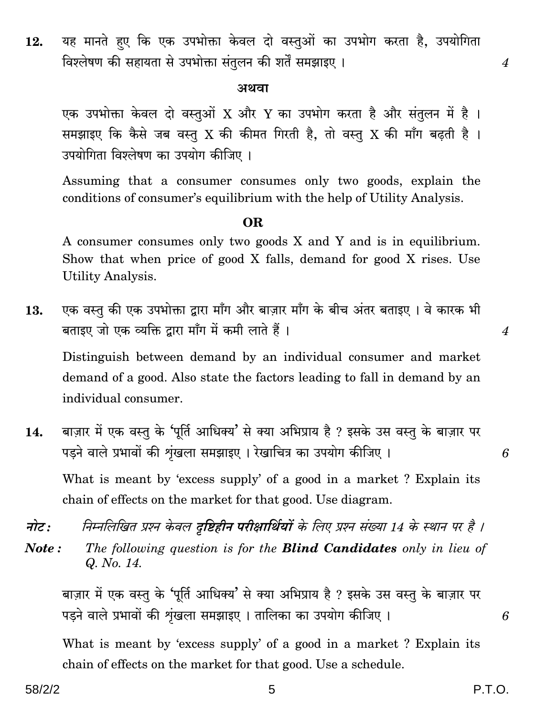यह मानते हए कि एक उपभोक्ता केवल दो वस्तुओं का उपभोग करता है, उपयोगिता 12. विश्लेषण की सहायता से उपभोक्ता संतुलन की शर्तें समझाइए ।

#### अथवा

एक उपभोक्ता केवल दो वस्तुओं X और Y का उपभोग करता है और संतुलन में है। समझाइए कि कैसे जब वस्तु X की कीमत गिरती है, तो वस्तु X की माँग बढती है। उपयोगिता विश्लेषण का उपयोग कीजिए ।

Assuming that a consumer consumes only two goods, explain the conditions of consumer's equilibrium with the help of Utility Analysis.

#### OR.

A consumer consumes only two goods X and Y and is in equilibrium. Show that when price of good X falls, demand for good X rises. Use **Utility Analysis.** 

एक वस्तु की एक उपभोक्ता द्वारा माँग और बाज़ार माँग के बीच अंतर बताइए । वे कारक भी 13. बताइए जो एक व्यक्ति द्वारा माँग में कमी लाते हैं।

Distinguish between demand by an individual consumer and market demand of a good. Also state the factors leading to fall in demand by an individual consumer.

- बाज़ार में एक वस्तु के 'पूर्ति आधिक्य' से क्या अभिप्राय है ? इसके उस वस्तु के बाज़ार पर 14. पड़ने वाले प्रभावों की शृंखला समझाइए । रेखाचित्र का उपयोग कीजिए । What is meant by 'excess supply' of a good in a market? Explain its chain of effects on the market for that good. Use diagram.
- निम्नलिखित प्रश्न केवल दृष्टिहीन परीक्षार्थियों के लिए प्रश्न संख्या 14 के स्थान पर है । नोट :
- The following question is for the **Blind Candidates** only in lieu of Note: Q. No. 14.

बाज़ार में एक वस्तु के 'पूर्ति आधिक्य' से क्या अभिप्राय है ? इसके उस वस्तु के बाज़ार पर पड़ने वाले प्रभावों की शृंखला समझाइए। तालिका का उपयोग कीजिए।

What is meant by 'excess supply' of a good in a market? Explain its chain of effects on the market for that good. Use a schedule.

6

 $\overline{4}$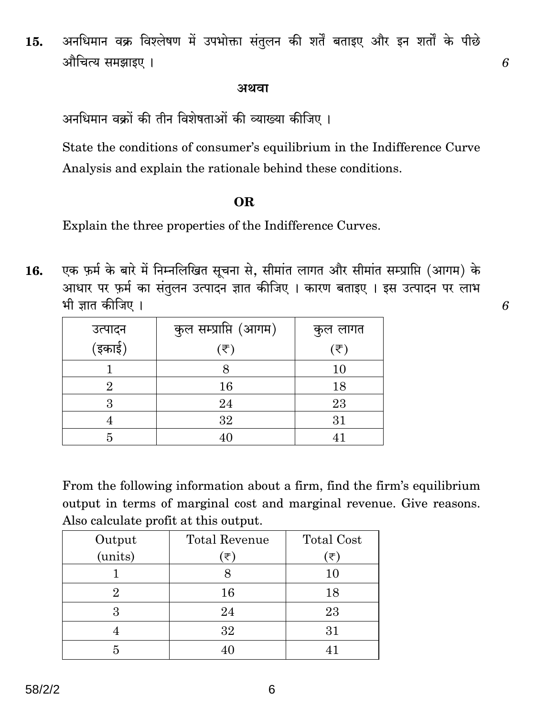अनधिमान वक्र विश्लेषण में उपभोक्ता संतुलन की शर्तें बताइए और इन शर्तों के पीछे 15. औचित्य समझाइए ।

#### अथवा

अनधिमान वक्रों की तीन विशेषताओं की व्याख्या कीजिए ।

State the conditions of consumer's equilibrium in the Indifference Curve Analysis and explain the rationale behind these conditions.

#### OR.

Explain the three properties of the Indifference Curves.

एक फ़र्म के बारे में निम्नलिखित सूचना से, सीमांत लागत और सीमांत सम्प्राप्ति (आगम) के 16. आधार पर फ़र्म का संतुलन उत्पादन ज्ञात कीजिए । कारण बताइए । इस उत्पादन पर लाभ भी ज्ञात कीजिए ।

|                   | कुल सम्प्राप्ति (आगम) | कुल लागत                    |
|-------------------|-----------------------|-----------------------------|
| उत्पादन<br>(इकाई) | $(\overline{\tau})$   | $(\overline{\overline{z}})$ |
|                   |                       | 10                          |
|                   | 16                    | 18                          |
| റ                 | 24                    | 23                          |
|                   | 32                    | $31\,$                      |
|                   |                       |                             |

From the following information about a firm, find the firm's equilibrium output in terms of marginal cost and marginal revenue. Give reasons. Also calculate profit at this output.

| Output  | Total Revenue | <b>Total Cost</b> |
|---------|---------------|-------------------|
| (units) | (₹`           | (₹)               |
|         |               | 10                |
|         | 16            | 18                |
| З       | 24            | 23                |
|         | 32            | 31                |
|         | 40            |                   |

6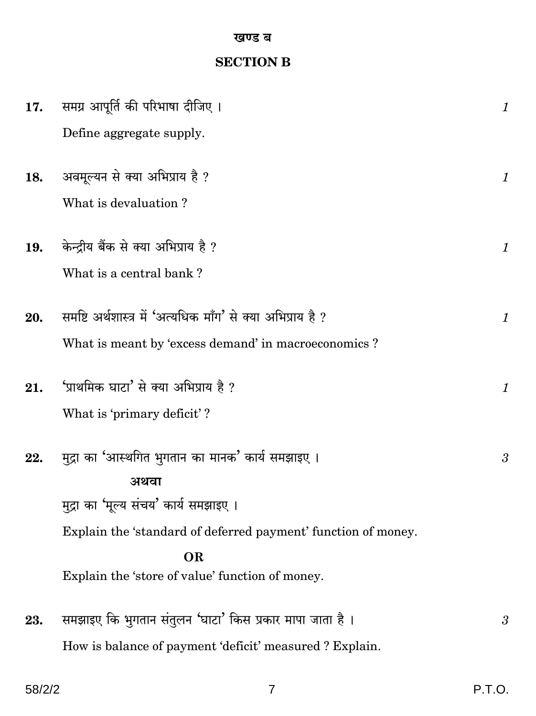#### खण्ड ब

## **SECTION B**

| 17. | समग्र आपूर्ति की परिभाषा दीजिए ।                                                                                                                                    | $\boldsymbol{\mathit{1}}$ |
|-----|---------------------------------------------------------------------------------------------------------------------------------------------------------------------|---------------------------|
|     | Define aggregate supply.                                                                                                                                            |                           |
| 18. | अवमूल्यन से क्या अभिप्राय है ?<br>What is devaluation?                                                                                                              | $\mathcal{I}$             |
| 19. | केन्द्रीय बैंक से क्या अभिप्राय है ?                                                                                                                                | $\mathcal{I}$             |
|     | What is a central bank?                                                                                                                                             |                           |
| 20. | समष्टि अर्थशास्त्र में 'अत्यधिक माँग' से क्या अभिप्राय है ?<br>What is meant by 'excess demand' in macroeconomics?                                                  | $\mathcal{I}$             |
| 21. | 'प्राथमिक घाटा' से क्या अभिप्राय है ?                                                                                                                               | $\mathcal{I}$             |
|     | What is 'primary deficit'?                                                                                                                                          |                           |
| 22. | मुद्रा का 'आस्थगित भुगतान का मानक' कार्य समझाइए ।<br>अथवा<br>मुद्रा का 'मूल्य संचय' कार्य समझाइए ।<br>Explain the 'standard of deferred payment' function of money. | 3                         |
|     | <b>OR</b>                                                                                                                                                           |                           |
|     | Explain the 'store of value' function of money.                                                                                                                     |                           |
| 23. | समझाइए कि भुगतान संतुलन 'घाटा' किस प्रकार मापा जाता है ।<br>How is balance of payment 'deficit' measured ? Explain.                                                 | $\boldsymbol{\beta}$      |

 $58/2/2$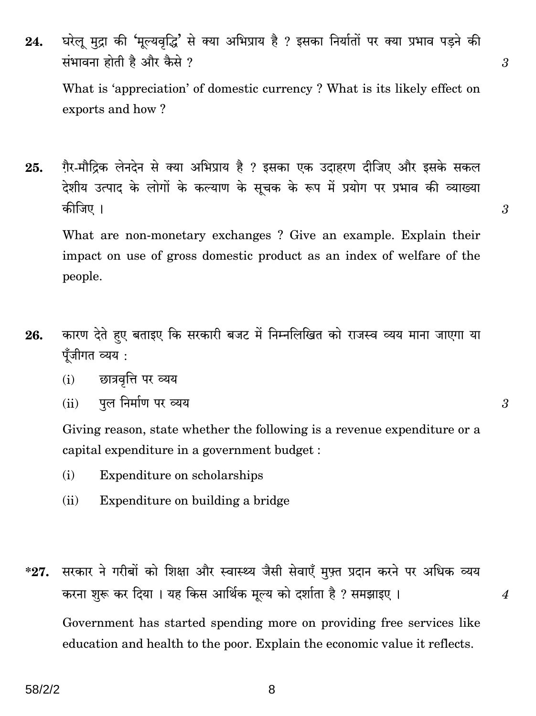घरेलू मुद्रा की 'मूल्यवृद्धि' से क्या अभिप्राय है ? इसका निर्यातों पर क्या प्रभाव पड़ने की 24. संभावना होती है और कैसे ?

What is 'appreciation' of domestic currency? What is its likely effect on exports and how?

ग़ैर-मौद्रिक लेनदेन से क्या अभिप्राय है ? इसका एक उदाहरण दीजिए और इसके सकल 25. देशीय उत्पाद के लोगों के कल्याण के सूचक के रूप में प्रयोग पर प्रभाव की व्याख्या कीजिए ।

What are non-monetary exchanges? Give an example. Explain their impact on use of gross domestic product as an index of welfare of the people.

- कारण देते हुए बताइए कि सरकारी बजट में निम्नलिखित को राजस्व व्यय माना जाएगा या 26. पूँजीगत व्यय :
	- छात्रवृत्ति पर व्यय  $(i)$
	- पूल निर्माण पर व्यय  $(ii)$

Giving reason, state whether the following is a revenue expenditure or a capital expenditure in a government budget:

- $(i)$ Expenditure on scholarships
- $(ii)$ Expenditure on building a bridge
- सरकार ने गरीबों को शिक्षा और स्वास्थ्य जैसी सेवाएँ मुफ़्त प्रदान करने पर अधिक व्यय  $*27.$ करना शुरू कर दिया। यह किस आर्थिक मूल्य को दर्शाता है ? समझाइए।

Government has started spending more on providing free services like education and health to the poor. Explain the economic value it reflects.

8

 $\mathcal{S}$ 

 $\overline{3}$ 

 $\overline{3}$ 

 $\boldsymbol{4}$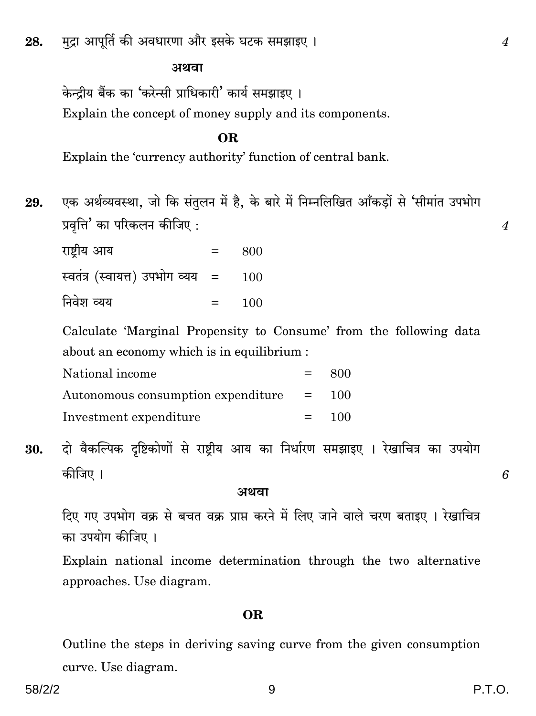मुद्रा आपूर्ति की अवधारणा और इसके घटक समझाइए । 28.

#### अथवा

केन्द्रीय बैंक का 'करेन्सी प्राधिकारी' कार्य समझाइए । Explain the concept of money supply and its components.

#### **OR**

Explain the 'currency authority' function of central bank.

एक अर्थव्यवस्था, जो कि संतुलन में है, के बारे में निम्नलिखित आँकड़ों से 'सीमांत उपभोग 29. प्रवृत्ति' का परिकलन कीजिए :

| राष्ट्रीय आय                       | $=$     | 800 |
|------------------------------------|---------|-----|
| स्वतंत्र (स्वायत्त) उपभोग व्यय   = |         | 100 |
| निवेश व्यय                         | $=$ $-$ | 100 |

Calculate 'Marginal Propensity to Consume' from the following data about an economy which is in equilibrium:

| National income                                                 | $\equiv$ $\equiv$ | -800    |
|-----------------------------------------------------------------|-------------------|---------|
| Autonomous consumption expenditure $\qquad \qquad = \qquad 100$ |                   |         |
| Investment expenditure                                          |                   | $= 100$ |

दो वैकल्पिक दृष्टिकोणों से राष्टीय आय का निर्धारण समझाइए । रेखाचित्र का उपयोग 30. कीजिए ।

#### अथवा

दिए गए उपभोग वक्र से बचत वक्र प्राप्त करने में लिए जाने वाले चरण बताइए । रेखाचित्र का उपयोग कीजिए ।

Explain national income determination through the two alternative approaches. Use diagram.

#### **OR**

Outline the steps in deriving saving curve from the given consumption curve. Use diagram.

 $\overline{4}$ 

 $\overline{4}$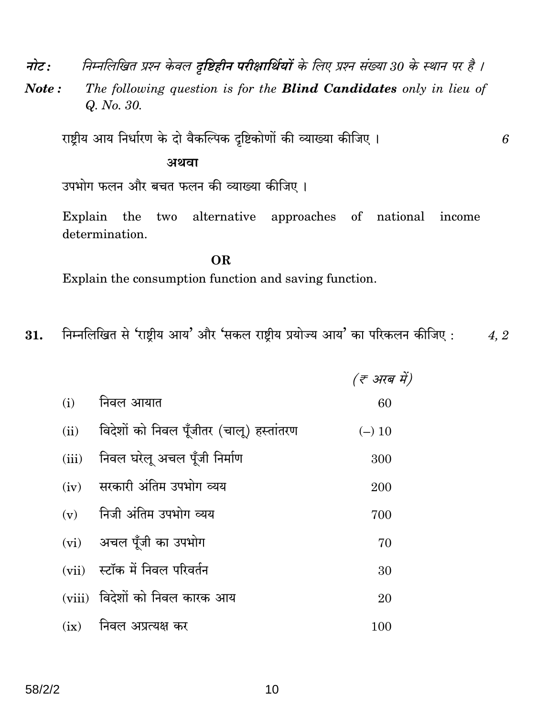निम्नलिखित प्रश्न केवल दृष्टिहीन परीक्षार्थियों के लिए प्रश्न संख्या 30 के स्थान पर है । नोट :

The following question is for the **Blind Candidates** only in lieu of Note: Q. No. 30.

राष्ट्रीय आय निर्धारण के दो वैकल्पिक दृष्टिकोणों की व्याख्या कीजिए।

#### अथवा

उपभोग फलन और बचत फलन की व्याख्या कीजिए।

two alternative approaches of national income Explain  $the$ determination.

**OR** Explain the consumption function and saving function.

निम्नलिखित से 'राष्ट्रीय आय' और 'सकल राष्ट्रीय प्रयोज्य आय' का परिकलन कीजिए: 4, 2 31.

|       |                                          | (₹ अरब में) |
|-------|------------------------------------------|-------------|
| (i)   | निवल आयात                                | 60          |
| (ii)  | विदेशों को निवल पूँजीतर (चालू) हस्तांतरण | $(-)$ 10    |
| (iii) | निवल घरेलू अचल पूँजी निर्माण             | 300         |
| (iv)  | सरकारी अंतिम उपभोग व्यय                  | 200         |
|       | $(v)$ निजी अंतिम उपभोग व्यय              | 700         |
|       | (vi) अचल पूँजी का उपभोग                  | 70          |
|       | (vii) स्टॉक में निवल परिवर्तन            | 30          |
|       | (viii) विदेशों को निवल कारक आय           | 20          |
| (ix)  | निवल अप्रत्यक्ष कर                       | 100         |